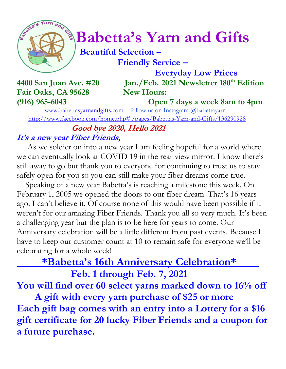

# *Constrainary***</del> Babetta's Yarn and Gifts**

 **Beautiful Selection – Friendly Service –**

 **Everyday Low Prices 4400 San Juan Ave. #20 Jan./Feb. 2021 Newsletter 180th Edition**

## Fair Oaks, CA 95628 New Hours:

**(916) 965-6043 Open 7 days a week 8am to 4pm**

[www.babettasyarnandgifts.com](http://www.babettasyarnandgifts.com/) follow us on Instagram @babettayarn <http://www.facebook.com/home.php#!/pages/Babettas-Yarn-and-Gifts/136290928>

 **Good bye 2020, Hello 2021** 

#### **It's a new year Fiber Friends,**

 As we soldier on into a new year I am feeling hopeful for a world where we can eventually look at COVID 19 in the rear view mirror. I know there's still away to go but thank you to everyone for continuing to trust us to stay safely open for you so you can still make your fiber dreams come true.

 Speaking of a new year Babetta's is reaching a milestone this week. On February 1, 2005 we opened the doors to our fiber dream. That's 16 years ago. I can't believe it. Of course none of this would have been possible if it weren't for our amazing Fiber Friends. Thank you all so very much. It's been a challenging year but the plan is to be here for years to come. Our Anniversary celebration will be a little different from past events. Because I have to keep our customer count at 10 to remain safe for everyone we'll be celebrating for a whole week!

### **\*Babetta's 16th Anniversary Celebration\*\_\_\_\_**

 **Feb. 1 through Feb. 7, 2021**

**You will find over 60 select yarns marked down to 16% off**

 **A gift with every yarn purchase of \$25 or more Each gift bag comes with an entry into a Lottery for a \$16 gift certificate for 20 lucky Fiber Friends and a coupon for a future purchase.**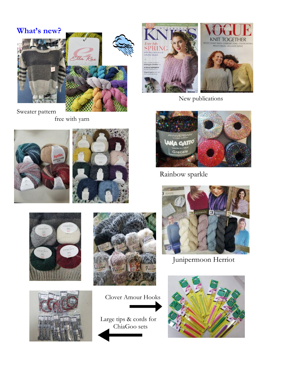

Sweater pattern free with yarn













 Large tips & cords for ChiaGoo sets



New publications



Rainbow sparkle



Junipermoon Herriot

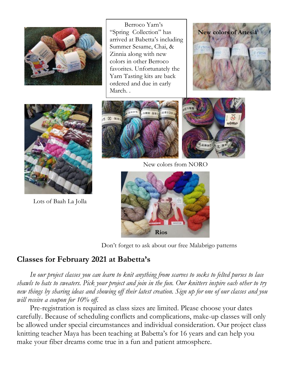

 Berroco Yarn's "Spring Collection" has arrived at Babetta's including Summer Sesame, Chai, & Zinnia along with new colors in other Berroco favorites. Unfortunately the Yarn Tasting kits are back ordered and due in early March. .





Lots of Baah La Jolla



New colors from NORO



Don't forget to ask about our free Malabrigo patterns

#### **Classes for February 2021 at Babetta's**

 *In our project classes you can learn to knit anything from scarves to socks to felted purses to lace shawls to hats to sweaters. Pick your project and join in the fun. Our knitters inspire each other to try new things by sharing ideas and showing off their latest creation. Sign up for one of our classes and you will receive a coupon for 10% off.*

Pre-registration is required as class sizes are limited. Please choose your dates carefully. Because of scheduling conflicts and complications, make-up classes will only be allowed under special circumstances and individual consideration. Our project class knitting teacher Maya has been teaching at Babetta's for 16 years and can help you make your fiber dreams come true in a fun and patient atmosphere.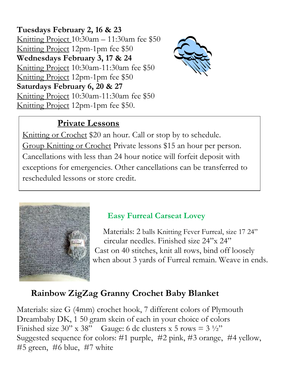**Tuesdays February 2, 16 & 23** Knitting Project 10:30am – 11:30am fee \$50 Knitting Project 12pm-1pm fee \$50 **Wednesdays February 3, 17 & 24** Knitting Project 10:30am-11:30am fee \$50 Knitting Project 12pm-1pm fee \$50 **Saturdays February 6, 20 & 27** Knitting Project 10:30am-11:30am fee \$50 Knitting Project 12pm-1pm fee \$50.



#### **Private Lessons**

Knitting or Crochet \$20 an hour. Call or stop by to schedule. Group Knitting or Crochet Private lessons \$15 an hour per person. Cancellations with less than 24 hour notice will forfeit deposit with exceptions for emergencies. Other cancellations can be transferred to rescheduled lessons or store credit.



#### **Easy Furreal Carseat Lovey**

 Materials: 2 balls Knitting Fever Furreal, size 17 24" circular needles. Finished size 24"x 24" Cast on 40 stitches, knit all rows, bind off loosely when about 3 yards of Furreal remain. Weave in ends.

#### **Rainbow ZigZag Granny Crochet Baby Blanket**

Materials: size G (4mm) crochet hook, 7 different colors of Plymouth Dreambaby DK, 1 50 gram skein of each in your choice of colors Finished size 30" x 38" Gauge: 6 dc clusters x 5 rows =  $3\frac{1}{2}$ " Suggested sequence for colors: #1 purple, #2 pink, #3 orange, #4 yellow, #5 green, #6 blue, #7 white